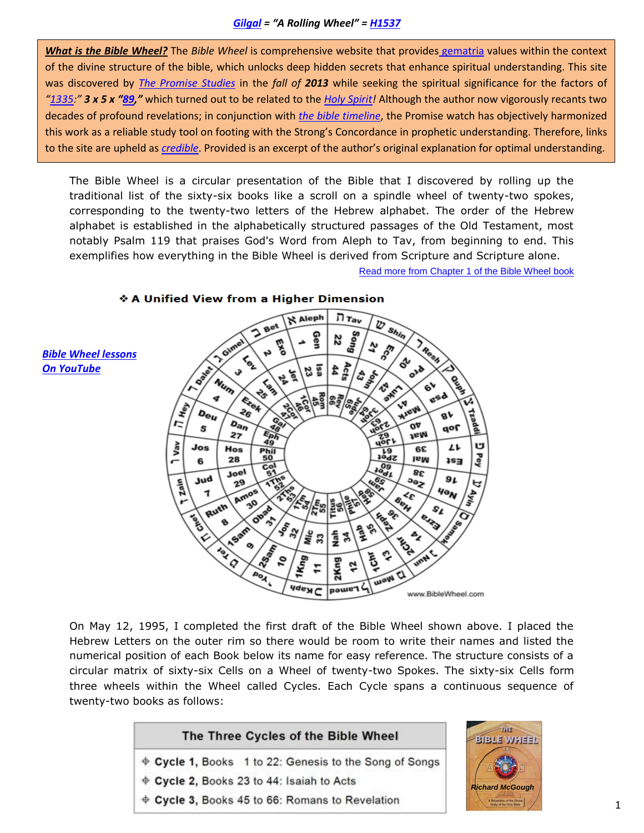*What is the Bible Wheel?* The *Bible Wheel* is comprehensive website that provides [gematria](http://www.yet7000years.com/gematria.pdf) values within the context of the divine structure of the bible, which unlocks deep hidden secrets that enhance spiritual understanding. This site was discovered by *[The Promise Studies](http://yet7000years.com/)* in the *fall of 2013* while seeking the spiritual significance for the factors of *"[1335](http://www.blueletterbible.org/tools/MultiVerse.cfm?refFormat=2&refDelim=1&numDelim=1&abbrev=1"ed=0&sqrbrkt=0&sorted=0&t=KJV&mvText=Dan+12%3A12):" 3 x 5 x "[89](http://www.biblewheel.com/GR/GR_89.php),"* which turned out to be related to the *[Holy Spirit!](http://www.yet7000years.com/propheticharmony.pdf)* Although the author now vigorously recants two decades of profound revelations; in conjunction with *the bible [timeline](http://www.yet7000years.com/st.pdf)*, the Promise watch has objectively harmonized this work as a reliable study tool on footing with the Strong's Concordance in prophetic understanding. Therefore, links to the site are upheld as *[credible](http://www.blueletterbible.org/tools/MultiVerse.cfm?t=KJV&Retrieve=&mvText=1+Thes+5%3A19-21&refDelim=1&refFormat=2&numDelim=1&abbrev=1)*. Provided is an excerpt of the author's original explanation for optimal understanding.

The Bible Wheel is a circular presentation of the Bible that I discovered by rolling up the traditional list of the sixty-six books like a scroll on a spindle wheel of twenty-two spokes, corresponding to the twenty-two letters of the Hebrew alphabet. The order of the Hebrew alphabet is established in the alphabetically structured passages of the Old Testament, most notably Psalm 119 that praises God's Word from Aleph to Tav, from beginning to end. This exemplifies how everything in the Bible Wheel is derived from Scripture and Scripture alone.

[Read more from Chapter 1 of the Bible Wheel book](http://www.biblewheel.com/Book/Chapters/Chapt01.php)



♦ A Unified View from a Higher Dimension

On May 12, 1995, I completed the first draft of the Bible Wheel shown above. I placed the Hebrew Letters on the outer rim so there would be room to write their names and listed the numerical position of each Book below its name for easy reference. The structure consists of a circular matrix of sixty-six Cells on a Wheel of twenty-two Spokes. The sixty-six Cells form three wheels within the Wheel called Cycles. Each Cycle spans a continuous sequence of twenty-two books as follows:

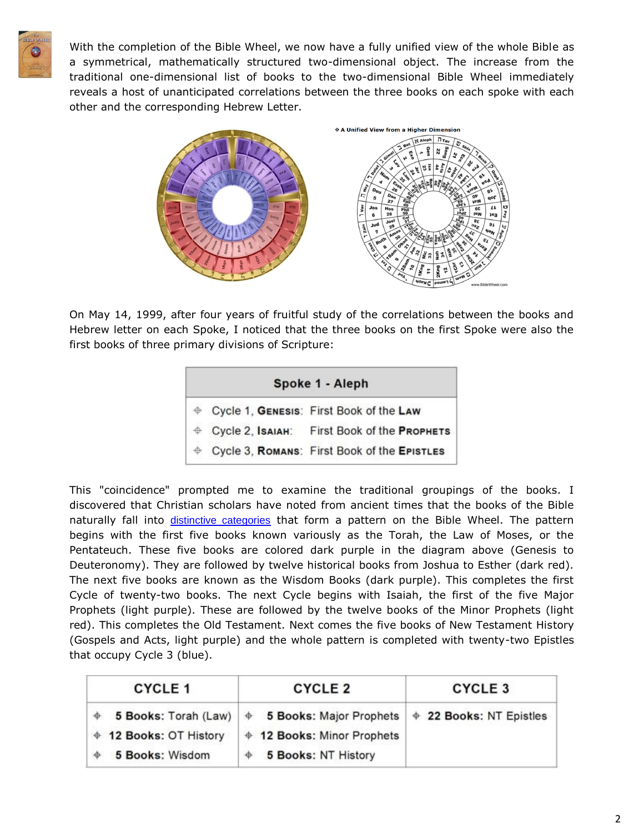

With the completion of the Bible Wheel, we now have a fully unified view of the whole Bible as a symmetrical, mathematically structured two-dimensional object. The increase from the traditional one-dimensional list of books to the two-dimensional Bible Wheel immediately reveals a host of unanticipated correlations between the three books on each spoke with each other and the corresponding Hebrew Letter.



On May 14, 1999, after four years of fruitful study of the correlations between the books and Hebrew letter on each Spoke, I noticed that the three books on the first Spoke were also the first books of three primary divisions of Scripture:

| Spoke 1 - Aleph |  |                                               |  |  |  |
|-----------------|--|-----------------------------------------------|--|--|--|
|                 |  | ♦ Cycle 1, GENESIS: First Book of the Law     |  |  |  |
|                 |  | ⊕ Cycle 2, IsaiaH: First Book of the PROPHETS |  |  |  |
| $\oplus$        |  | Cycle 3, ROMANS: First Book of the EPISTLES   |  |  |  |

This "coincidence" prompted me to examine the traditional groupings of the books. I discovered that Christian scholars have noted from ancient times that the books of the Bible naturally fall into [distinctive categories](http://www.biblewheel.com/Canon/Categorical_Bible.php) that form a pattern on the Bible Wheel. The pattern begins with the first five books known variously as the Torah, the Law of Moses, or the Pentateuch. These five books are colored dark purple in the diagram above (Genesis to Deuteronomy). They are followed by twelve historical books from Joshua to Esther (dark red). The next five books are known as the Wisdom Books (dark purple). This completes the first Cycle of twenty-two books. The next Cycle begins with Isaiah, the first of the five Major Prophets (light purple). These are followed by the twelve books of the Minor Prophets (light red). This completes the Old Testament. Next comes the five books of New Testament History (Gospels and Acts, light purple) and the whole pattern is completed with twenty-two Epistles that occupy Cycle 3 (blue).

| <b>CYCLE 1</b>         | <b>CYCLE 2</b>                                                                   | <b>CYCLE 3</b> |  |
|------------------------|----------------------------------------------------------------------------------|----------------|--|
|                        | 5 Books: Torah (Law) $\phi$ 5 Books: Major Prophets $\phi$ 22 Books: NT Epistles |                |  |
| ♦ 12 Books: OT History | ♦ 12 Books: Minor Prophets                                                       |                |  |
| 5 Books: Wisdom        | 5 Books: NT History                                                              |                |  |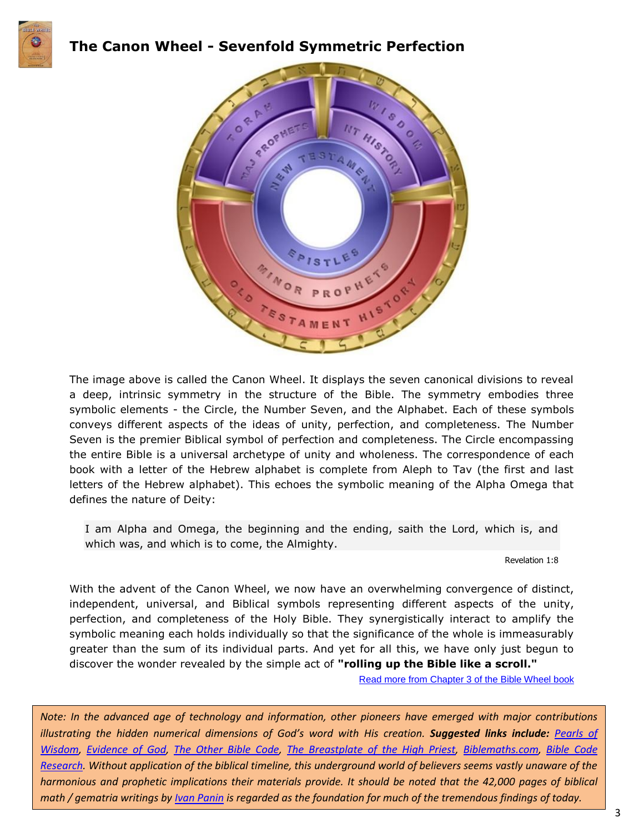

### **The Canon Wheel - Sevenfold Symmetric Perfection**



The image above is called the Canon Wheel. It displays the seven canonical divisions to reveal a deep, intrinsic symmetry in the structure of the Bible. The symmetry embodies three symbolic elements - the Circle, the Number Seven, and the Alphabet. Each of these symbols conveys different aspects of the ideas of unity, perfection, and completeness. The Number Seven is the premier Biblical symbol of perfection and completeness. The Circle encompassing the entire Bible is a universal archetype of unity and wholeness. The correspondence of each book with a letter of the Hebrew alphabet is complete from Aleph to Tav (the first and last letters of the Hebrew alphabet). This echoes the symbolic meaning of the Alpha Omega that defines the nature of Deity:

I am Alpha and Omega, the beginning and the ending, saith the Lord, which is, and which was, and which is to come, the Almighty.

Revelation 1:8

With the advent of the Canon Wheel, we now have an overwhelming convergence of distinct, independent, universal, and Biblical symbols representing different aspects of the unity, perfection, and completeness of the Holy Bible. They synergistically interact to amplify the symbolic meaning each holds individually so that the significance of the whole is immeasurably greater than the sum of its individual parts. And yet for all this, we have only just begun to discover the wonder revealed by the simple act of **"rolling up the Bible like a scroll."**

Read more from [Chapter 3 of the Bible Wheel book](http://www.biblewheel.com/Book/Chapters/Chapt03.php)

*Note: In the advanced age of technology and information, other pioneers have emerged with major contributions illustrating the hidden numerical dimensions of God's word with His creation. Suggested links include: [Pearls of](http://www.biblegematria.com/pearls-of-wisdom.html)  [Wisdom,](http://www.biblegematria.com/pearls-of-wisdom.html) [Evidence of God,](http://www.palmoni.net/gematria.htm) [The Other Bible Code,](http://homepage.virgin.net/vernon.jenkins/) [The Breastplate of the High Priest,](http://www.fivedoves.com/revdrnatch/breastplate.htm) [Biblemaths.com,](https://www.youtube.com/watch?v=4qn3I78Mwi0) Bible [Code](http://members.home.nl/frankcolijn/frankcolijn/indexEN.htm)  [Research.](http://members.home.nl/frankcolijn/frankcolijn/indexEN.htm) Without application of the biblical timeline, this underground world of believers seems vastly unaware of the harmonious and prophetic implications their materials provide. It should be noted that the 42,000 pages of biblical math / gematria writings by [Ivan Panin](http://www.biblebelievers.org.au/panin2.htm) is regarded as the foundation for much of the tremendous findings of today.*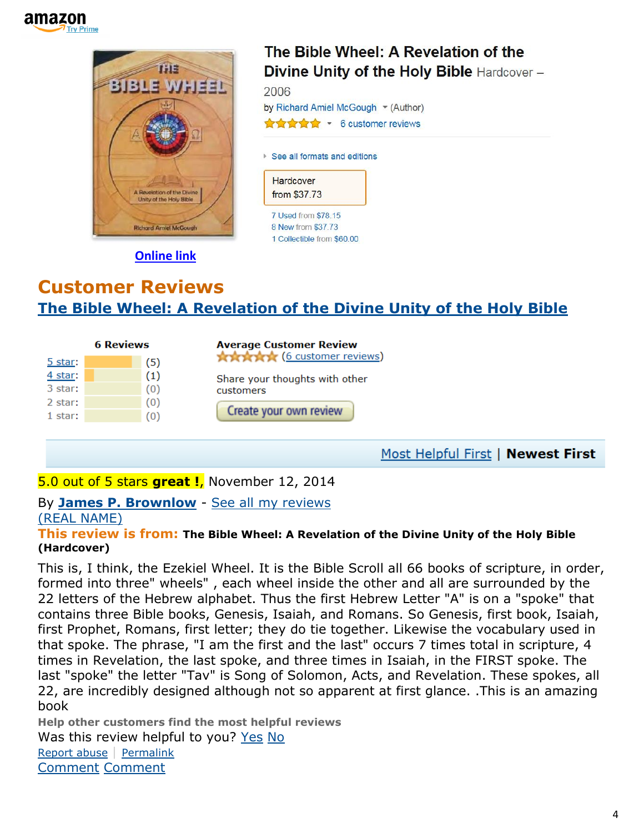



**[Online link](http://www.murraymoerman.com/1christ/scripture/BibleWheel.pdf)**

## **Customer Reviews [The Bible Wheel: A Revelation of the Divine Unity of the Holy Bible](http://www.amazon.com/The-Bible-Wheel-Revelation-Divine/dp/0977763773/ref=cm_cr_pr_product_top)**

| <b>6 Reviews</b> |  |                     | <b>Average Customer Review</b>              |
|------------------|--|---------------------|---------------------------------------------|
| 5 star:          |  | 〔5〕                 | <b>The Article</b> (6 customer reviews)     |
| $4$ star:        |  | $\scriptstyle{(1)}$ | Share your thoughts with other<br>customers |
| 3 star:          |  | (0)                 |                                             |
| 2 star:          |  | (0)                 |                                             |
| 1 star:          |  | (0)                 | Create your own review                      |
|                  |  |                     |                                             |
|                  |  |                     |                                             |

Most Helpful First | Newest First

### 5.0 out of 5 stars **great !**, November 12, 2014

#### By **[James P. Brownlow](http://www.amazon.com/gp/pdp/profile/AMV4MN637EQPQ/ref=cm_cr_pr_pdp)** - [See all my reviews](http://www.amazon.com/gp/cdp/member-reviews/AMV4MN637EQPQ/ref=cm_cr_pr_auth_rev?ie=UTF8&sort_by=MostRecentReview) [\(REAL NAME\)](http://www.amazon.com/gp/help/customer/display.html/ref=cm_rn_bdg_help?ie=UTF8&nodeId=14279681&pop-up=1#RN)

#### **This review is from: The Bible Wheel: A Revelation of the Divine Unity of the Holy Bible (Hardcover)**

This is, I think, the Ezekiel Wheel. It is the Bible Scroll all 66 books of scripture, in order, formed into three" wheels" , each wheel inside the other and all are surrounded by the 22 letters of the Hebrew alphabet. Thus the first Hebrew Letter "A" is on a "spoke" that contains three Bible books, Genesis, Isaiah, and Romans. So Genesis, first book, Isaiah, first Prophet, Romans, first letter; they do tie together. Likewise the vocabulary used in that spoke. The phrase, "I am the first and the last" occurs 7 times total in scripture, 4 times in Revelation, the last spoke, and three times in Isaiah, in the FIRST spoke. The last "spoke" the letter "Tav" is Song of Solomon, Acts, and Revelation. These spokes, all 22, are incredibly designed although not so apparent at first glance. .This is an amazing book

**Help other customers find the most helpful reviews** Was this review helpful to you? [Yes](http://www.amazon.com/gp/voting/cast/Reviews/2115/R4CCENWYJ8ANL/Helpful/1/ref=cm_cr_prvoteyn?ie=UTF8&target=aHR0cDovL3d3dy5hbWF6b24uY29tL3Jldmlldy8wOTc3NzYzNzczL3JlZj1jbV9jcl9wcnZvdGVyZHI_X2VuY29kaW5nPVVURjgmc2hvd1ZpZXdwb2ludHM9MSZzb3J0Qnk9YnlTdWJtaXNzaW9uRGF0ZURlc2NlbmRpbmc&token=D09CDEEBE53286B598B7BB5A9AE2464C194EF1BB&voteAnchorName=R4CCENWYJ8ANL.2115.Helpful.Reviews&voteSessionID=183-5448754-3699122) [No](http://www.amazon.com/gp/voting/cast/Reviews/2115/R4CCENWYJ8ANL/Helpful/-1/ref=cm_cr_prvoteyn?ie=UTF8&target=aHR0cDovL3d3dy5hbWF6b24uY29tL3Jldmlldy8wOTc3NzYzNzczL3JlZj1jbV9jcl9wcnZvdGVyZHI_X2VuY29kaW5nPVVURjgmc2hvd1ZpZXdwb2ludHM9MSZzb3J0Qnk9YnlTdWJtaXNzaW9uRGF0ZURlc2NlbmRpbmc&token=675A05017D5DB6148AAEFC5DD6EF0825A1E250A6&voteAnchorName=R4CCENWYJ8ANL.2115.Helpful.Reviews&voteSessionID=183-5448754-3699122) [Report abuse](http://www.amazon.com/gp/voting/cast/Reviews/2115/R4CCENWYJ8ANL/Inappropriate/1/ref=cm_cr_prvoteyn?ie=UTF8&target=aHR0cDovL3d3dy5hbWF6b24uY29tL3Jldmlldy8wOTc3NzYzNzczL3JlZj1jbV9jcl9wcnZvdGVyZHI_X2VuY29kaW5nPVVURjgmc2hvd1ZpZXdwb2ludHM9MSZzb3J0Qnk9YnlTdWJtaXNzaW9uRGF0ZURlc2NlbmRpbmc&token=7BBD34162708B14B5C769AA6AC8E8902410CDB64&voteAnchorName=R4CCENWYJ8ANL.2115.Inappropriate.Reviews&voteSessionID=183-5448754-3699122) | [Permalink](http://www.amazon.com/review/R4CCENWYJ8ANL/ref=cm_cr_pr_perm?ie=UTF8&ASIN=0977763773) [Comment](http://www.amazon.com/review/R4CCENWYJ8ANL/ref=cm_cr_pr_cmt?ie=UTF8&ASIN=0977763773#wasThisHelpful) [Comment](http://www.amazon.com/review/R4CCENWYJ8ANL/ref=cm_cr_pr_cmt?ie=UTF8&ASIN=0977763773#wasThisHelpful)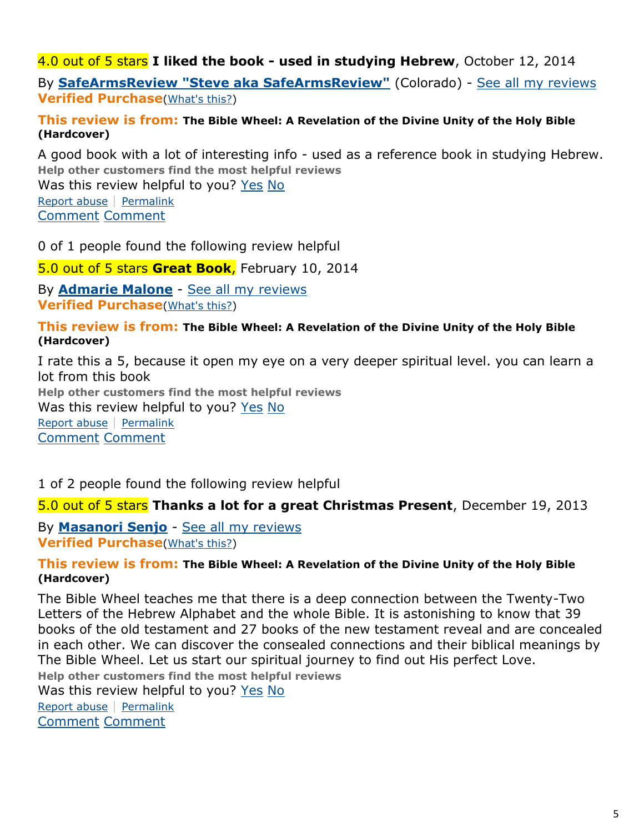### 4.0 out of 5 stars **I liked the book - used in studying Hebrew**, October 12, 2014

By **[SafeArmsReview "Steve aka SafeArmsReview"](http://www.amazon.com/gp/pdp/profile/A2E6IOZ5ZDX2IM/ref=cm_cr_pr_pdp)** (Colorado) - [See all my reviews](http://www.amazon.com/gp/cdp/member-reviews/A2E6IOZ5ZDX2IM/ref=cm_cr_pr_auth_rev?ie=UTF8&sort_by=MostRecentReview) **Verified Purchase**[\(What's this?\)](http://www.amazon.com/gp/community-help/amazon-verified-purchase)

#### **This review is from: The Bible Wheel: A Revelation of the Divine Unity of the Holy Bible (Hardcover)**

A good book with a lot of interesting info - used as a reference book in studying Hebrew. **Help other customers find the most helpful reviews**

Was this review helpful to you? [Yes](http://www.amazon.com/gp/voting/cast/Reviews/2115/RPTWELGWOTTT2/Helpful/1/ref=cm_cr_prvoteyn?ie=UTF8&target=aHR0cDovL3d3dy5hbWF6b24uY29tL3Jldmlldy8wOTc3NzYzNzczL3JlZj1jbV9jcl9wcnZvdGVyZHI_X2VuY29kaW5nPVVURjgmc2hvd1ZpZXdwb2ludHM9MSZzb3J0Qnk9YnlTdWJtaXNzaW9uRGF0ZURlc2NlbmRpbmc&token=B684A846EDF82C916E1CF48376714EFD3AC880D8&voteAnchorName=RPTWELGWOTTT2.2115.Helpful.Reviews&voteSessionID=183-5448754-3699122) [No](http://www.amazon.com/gp/voting/cast/Reviews/2115/RPTWELGWOTTT2/Helpful/-1/ref=cm_cr_prvoteyn?ie=UTF8&target=aHR0cDovL3d3dy5hbWF6b24uY29tL3Jldmlldy8wOTc3NzYzNzczL3JlZj1jbV9jcl9wcnZvdGVyZHI_X2VuY29kaW5nPVVURjgmc2hvd1ZpZXdwb2ludHM9MSZzb3J0Qnk9YnlTdWJtaXNzaW9uRGF0ZURlc2NlbmRpbmc&token=B56BD12BB05A6C866D8E9B49D2A2E397C8353B95&voteAnchorName=RPTWELGWOTTT2.2115.Helpful.Reviews&voteSessionID=183-5448754-3699122)

[Report abuse](http://www.amazon.com/gp/voting/cast/Reviews/2115/RPTWELGWOTTT2/Inappropriate/1/ref=cm_cr_prvoteyn?ie=UTF8&target=aHR0cDovL3d3dy5hbWF6b24uY29tL3Jldmlldy8wOTc3NzYzNzczL3JlZj1jbV9jcl9wcnZvdGVyZHI_X2VuY29kaW5nPVVURjgmc2hvd1ZpZXdwb2ludHM9MSZzb3J0Qnk9YnlTdWJtaXNzaW9uRGF0ZURlc2NlbmRpbmc&token=C607A7CB1529EF5FC7849D4F5CF57FAF9845DBCD&voteAnchorName=RPTWELGWOTTT2.2115.Inappropriate.Reviews&voteSessionID=183-5448754-3699122) | [Permalink](http://www.amazon.com/review/RPTWELGWOTTT2/ref=cm_cr_pr_perm?ie=UTF8&ASIN=0977763773) [Comment](http://www.amazon.com/review/RPTWELGWOTTT2/ref=cm_cr_pr_cmt?ie=UTF8&ASIN=0977763773#wasThisHelpful) [Comment](http://www.amazon.com/review/RPTWELGWOTTT2/ref=cm_cr_pr_cmt?ie=UTF8&ASIN=0977763773#wasThisHelpful)

0 of 1 people found the following review helpful

5.0 out of 5 stars **Great Book**, February 10, 2014

By **[Admarie Malone](http://www.amazon.com/gp/pdp/profile/A1RVNJAYDS76YT/ref=cm_cr_pr_pdp)** - [See all my reviews](http://www.amazon.com/gp/cdp/member-reviews/A1RVNJAYDS76YT/ref=cm_cr_pr_auth_rev?ie=UTF8&sort_by=MostRecentReview) **Verified Purchase**[\(What's this?\)](http://www.amazon.com/gp/community-help/amazon-verified-purchase)

**This review is from: The Bible Wheel: A Revelation of the Divine Unity of the Holy Bible (Hardcover)**

I rate this a 5, because it open my eye on a very deeper spiritual level. you can learn a lot from this book **Help other customers find the most helpful reviews** Was this review helpful to you? [Yes](http://www.amazon.com/gp/voting/cast/Reviews/2115/R2ATZAUOBTXDWP/Helpful/1/ref=cm_cr_prvoteyn?ie=UTF8&target=aHR0cDovL3d3dy5hbWF6b24uY29tL3Jldmlldy8wOTc3NzYzNzczL3JlZj1jbV9jcl9wcnZvdGVyZHI_X2VuY29kaW5nPVVURjgmc2hvd1ZpZXdwb2ludHM9MSZzb3J0Qnk9YnlTdWJtaXNzaW9uRGF0ZURlc2NlbmRpbmc&token=1E89D1CF9708EE12E0661D32BD29B3E712975300&voteAnchorName=R2ATZAUOBTXDWP.2115.Helpful.Reviews&voteSessionID=183-5448754-3699122) [No](http://www.amazon.com/gp/voting/cast/Reviews/2115/R2ATZAUOBTXDWP/Helpful/-1/ref=cm_cr_prvoteyn?ie=UTF8&target=aHR0cDovL3d3dy5hbWF6b24uY29tL3Jldmlldy8wOTc3NzYzNzczL3JlZj1jbV9jcl9wcnZvdGVyZHI_X2VuY29kaW5nPVVURjgmc2hvd1ZpZXdwb2ludHM9MSZzb3J0Qnk9YnlTdWJtaXNzaW9uRGF0ZURlc2NlbmRpbmc&token=6A9BA78673B771148AC052EF2176D8047603280C&voteAnchorName=R2ATZAUOBTXDWP.2115.Helpful.Reviews&voteSessionID=183-5448754-3699122) [Report abuse](http://www.amazon.com/gp/voting/cast/Reviews/2115/R2ATZAUOBTXDWP/Inappropriate/1/ref=cm_cr_prvoteyn?ie=UTF8&target=aHR0cDovL3d3dy5hbWF6b24uY29tL3Jldmlldy8wOTc3NzYzNzczL3JlZj1jbV9jcl9wcnZvdGVyZHI_X2VuY29kaW5nPVVURjgmc2hvd1ZpZXdwb2ludHM9MSZzb3J0Qnk9YnlTdWJtaXNzaW9uRGF0ZURlc2NlbmRpbmc&token=DCC9C5CA0D4A8231E9F969CC1FCD476A19910990&voteAnchorName=R2ATZAUOBTXDWP.2115.Inappropriate.Reviews&voteSessionID=183-5448754-3699122) | [Permalink](http://www.amazon.com/review/R2ATZAUOBTXDWP/ref=cm_cr_pr_perm?ie=UTF8&ASIN=0977763773) [Comment](http://www.amazon.com/review/R2ATZAUOBTXDWP/ref=cm_cr_pr_cmt?ie=UTF8&ASIN=0977763773#wasThisHelpful) [Comment](http://www.amazon.com/review/R2ATZAUOBTXDWP/ref=cm_cr_pr_cmt?ie=UTF8&ASIN=0977763773#wasThisHelpful)

1 of 2 people found the following review helpful

#### 5.0 out of 5 stars **Thanks a lot for a great Christmas Present**, December 19, 2013

By **[Masanori Senjo](http://www.amazon.com/gp/pdp/profile/A3D3LRQC19467J/ref=cm_cr_pr_pdp)** - [See all my reviews](http://www.amazon.com/gp/cdp/member-reviews/A3D3LRQC19467J/ref=cm_cr_pr_auth_rev?ie=UTF8&sort_by=MostRecentReview) **Verified Purchase**[\(What's this?\)](http://www.amazon.com/gp/community-help/amazon-verified-purchase)

#### **This review is from: The Bible Wheel: A Revelation of the Divine Unity of the Holy Bible (Hardcover)**

The Bible Wheel teaches me that there is a deep connection between the Twenty-Two Letters of the Hebrew Alphabet and the whole Bible. It is astonishing to know that 39 books of the old testament and 27 books of the new testament reveal and are concealed in each other. We can discover the consealed connections and their biblical meanings by The Bible Wheel. Let us start our spiritual journey to find out His perfect Love. **Help other customers find the most helpful reviews** Was this review helpful to you? [Yes](http://www.amazon.com/gp/voting/cast/Reviews/2115/R1BCM7BV2COUOH/Helpful/1/ref=cm_cr_prvoteyn?ie=UTF8&target=aHR0cDovL3d3dy5hbWF6b24uY29tL3Jldmlldy8wOTc3NzYzNzczL3JlZj1jbV9jcl9wcnZvdGVyZHI_X2VuY29kaW5nPVVURjgmc2hvd1ZpZXdwb2ludHM9MSZzb3J0Qnk9YnlTdWJtaXNzaW9uRGF0ZURlc2NlbmRpbmc&token=5C5DEAF98FE2EBE08B5C5A7250FE9A329E83DF6A&voteAnchorName=R1BCM7BV2COUOH.2115.Helpful.Reviews&voteSessionID=183-5448754-3699122) [No](http://www.amazon.com/gp/voting/cast/Reviews/2115/R1BCM7BV2COUOH/Helpful/-1/ref=cm_cr_prvoteyn?ie=UTF8&target=aHR0cDovL3d3dy5hbWF6b24uY29tL3Jldmlldy8wOTc3NzYzNzczL3JlZj1jbV9jcl9wcnZvdGVyZHI_X2VuY29kaW5nPVVURjgmc2hvd1ZpZXdwb2ludHM9MSZzb3J0Qnk9YnlTdWJtaXNzaW9uRGF0ZURlc2NlbmRpbmc&token=4B0426E73A582E6860AAD6B19D5F972916B7C329&voteAnchorName=R1BCM7BV2COUOH.2115.Helpful.Reviews&voteSessionID=183-5448754-3699122)

[Report abuse](http://www.amazon.com/gp/voting/cast/Reviews/2115/R1BCM7BV2COUOH/Inappropriate/1/ref=cm_cr_prvoteyn?ie=UTF8&target=aHR0cDovL3d3dy5hbWF6b24uY29tL3Jldmlldy8wOTc3NzYzNzczL3JlZj1jbV9jcl9wcnZvdGVyZHI_X2VuY29kaW5nPVVURjgmc2hvd1ZpZXdwb2ludHM9MSZzb3J0Qnk9YnlTdWJtaXNzaW9uRGF0ZURlc2NlbmRpbmc&token=EB8302928D84B933EAE8A071C6721716EE9B6E82&voteAnchorName=R1BCM7BV2COUOH.2115.Inappropriate.Reviews&voteSessionID=183-5448754-3699122) | [Permalink](http://www.amazon.com/review/R1BCM7BV2COUOH/ref=cm_cr_pr_perm?ie=UTF8&ASIN=0977763773) [Comment](http://www.amazon.com/review/R1BCM7BV2COUOH/ref=cm_cr_pr_cmt?ie=UTF8&ASIN=0977763773#wasThisHelpful) [Comment](http://www.amazon.com/review/R1BCM7BV2COUOH/ref=cm_cr_pr_cmt?ie=UTF8&ASIN=0977763773#wasThisHelpful)